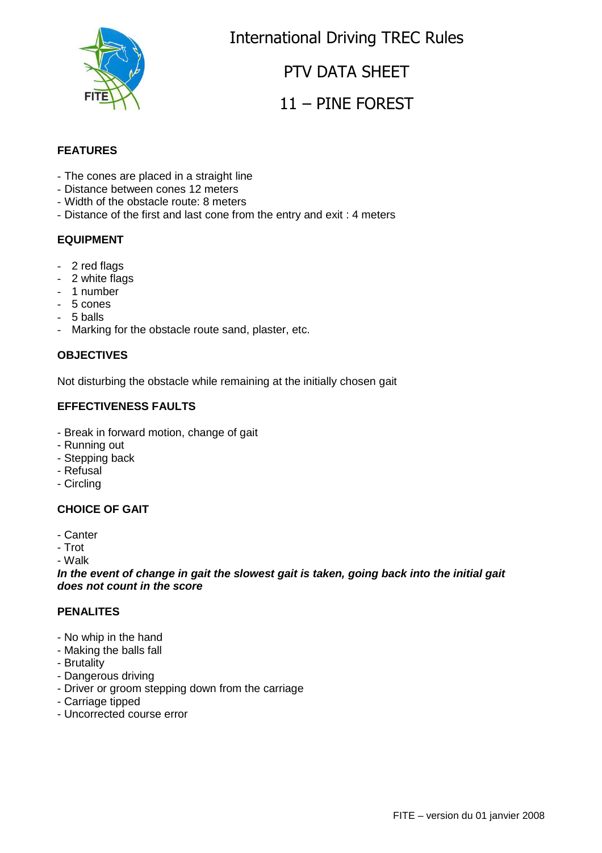

International Driving TREC Rules

### PTV DATA SHEET

## 11 – PINE FOREST

### **FEATURES**

- The cones are placed in a straight line
- Distance between cones 12 meters
- Width of the obstacle route: 8 meters
- Distance of the first and last cone from the entry and exit : 4 meters

#### **EQUIPMENT**

- 2 red flags
- 2 white flags
- 1 number
- 5 cones
- 5 balls
- Marking for the obstacle route sand, plaster, etc.

#### **OBJECTIVES**

Not disturbing the obstacle while remaining at the initially chosen gait

#### **EFFECTIVENESS FAULTS**

- Break in forward motion, change of gait
- Running out
- Stepping back
- Refusal
- Circling

#### **CHOICE OF GAIT**

- Canter
- Trot
- Walk

**In the event of change in gait the slowest gait is taken, going back into the initial gait does not count in the score**

#### **PENALITES**

- No whip in the hand
- Making the balls fall
- Brutality
- Dangerous driving
- Driver or groom stepping down from the carriage
- Carriage tipped
- Uncorrected course error